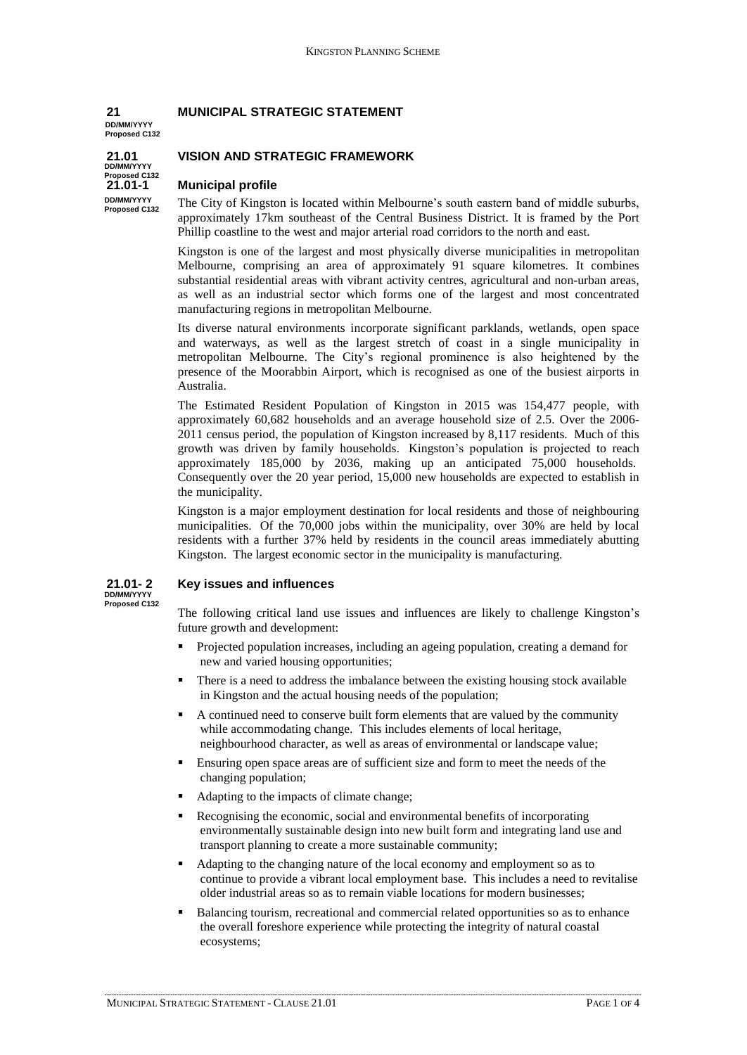# **21 MUNICIPAL STRATEGIC STATEMENT**

**DD/MM/YYYY Proposed C132**

**DD/MM/YYYY Proposed C132 DD/MM/YYYY Proposed C132**

# **21.01 VISION AND STRATEGIC FRAMEWORK**

### **21.01-1 Municipal profile**

The City of Kingston is located within Melbourne's south eastern band of middle suburbs, approximately 17km southeast of the Central Business District. It is framed by the Port Phillip coastline to the west and major arterial road corridors to the north and east.

Kingston is one of the largest and most physically diverse municipalities in metropolitan Melbourne, comprising an area of approximately 91 square kilometres. It combines substantial residential areas with vibrant activity centres, agricultural and non-urban areas, as well as an industrial sector which forms one of the largest and most concentrated manufacturing regions in metropolitan Melbourne.

Its diverse natural environments incorporate significant parklands, wetlands, open space and waterways, as well as the largest stretch of coast in a single municipality in metropolitan Melbourne. The City's regional promin and waterways, as well as the largest stretch of coast in a single municipality in presence of the Moorabbin Airport, which is recognised as one of the busiest airports in Australia.

The Estimated Resident Population of Kingston in 2015 was 154,477 people, with approximately 60,682 households and an average household size of 2.5. Over the 2006- 2011 census period, the population of Kingston increased by 8,117 residents. Much of this approximately 60,682 households and an average household size of 2.5. Over the 2006-<br>2011 census period, the population of Kingston increased by 8,117 residents. Much of this<br>growth was driven by family households. Kingsto approximately 185,000 by 2036, making up an anticipated 75,000 households. Consequently over the 20 year period, 15,000 new households are expected to establish in the municipality.

Kingston is a major employment destination for local residents and those of neighbouring municipalities. Of the 70,000 jobs within the municipality, over 30% are held by local residents with a further 37% held by residents in the council areas immediately abutting Kingston. The largest economic sector in the municipality is manufacturing.

**DD/MM/YYYY Proposed C132**

# **21.01- 2 Key issues and influences**

The following critical land use issues and influences are likely to challenge Kingston's future growth and development:

- Projected population increases, including an ageing population, creating a demand for new and varied housing opportunities;
- There is a need to address the imbalance between the existing housing stock available in Kingston and the actual housing needs of the population;
- A continued need to conserve built form elements that are valued by the community while accommodating change. This includes elements of local heritage, neighbourhood character, as well as areas of environmental or landscape value;
- Ensuring open space areas are of sufficient size and form to meet the needs of the changing population;
- Adapting to the impacts of climate change;
- Recognising the economic, social and environmental benefits of incorporating environmentally sustainable design into new built form and integrating land use and transport planning to create a more sustainable community;
- Adapting to the changing nature of the local economy and employment so as to continue to provide a vibrant local employment base. This includes a need to revitalise older industrial areas so as to remain viable locations for modern businesses;
- Balancing tourism, recreational and commercial related opportunities so as to enhance the overall foreshore experience while protecting the integrity of natural coastal ecosystems;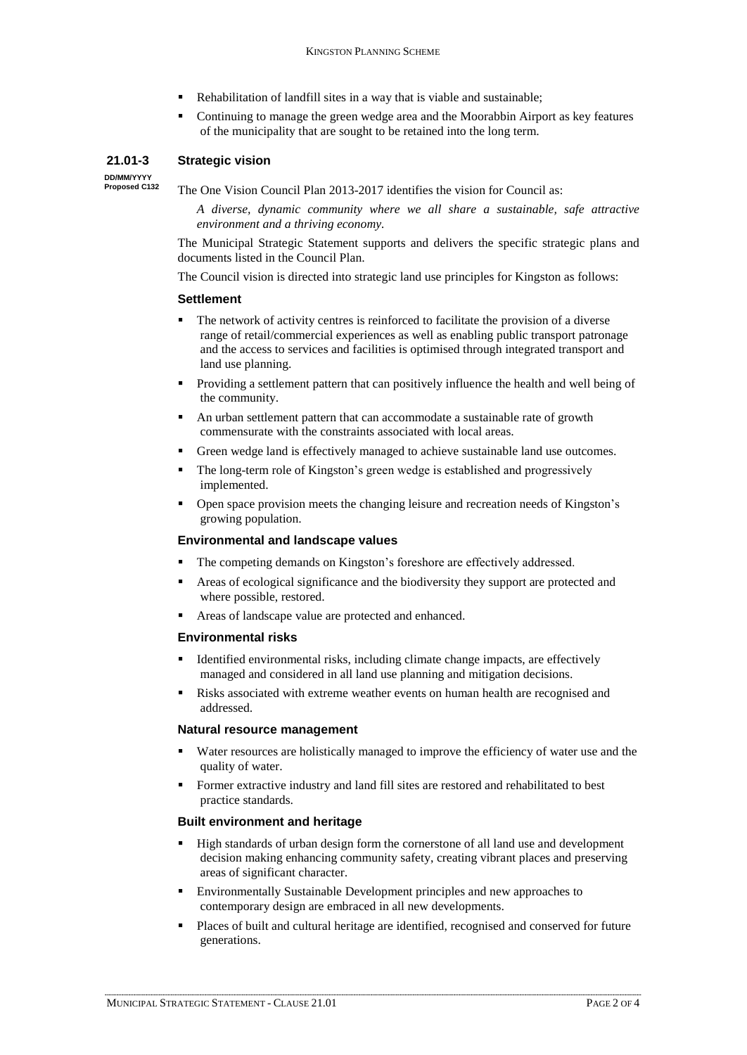- Rehabilitation of landfill sites in a way that is viable and sustainable;
- Continuing to manage the green wedge area and the Moorabbin Airport as key features of the municipality that are sought to be retained into the long term.

### **21.01-3 Strategic vision**

**DD/MM/YYYY Proposed C132**

The One Vision Council Plan 2013-2017 identifies the vision for Council as:

*A diverse, dynamic community where we all share a sustainable, safe attractive environment and a thriving economy.*

The Municipal Strategic Statement supports and delivers the specific strategic plans and documents listed in the Council Plan.

The Council vision is directed into strategic land use principles for Kingston as follows:

#### **Settlement**

- The network of activity centres is reinforced to facilitate the provision of a diverse range of retail/commercial experiences as well as enabling public transport patronage and the access to services and facilities is optimised through integrated transport and land use planning.
- Providing a settlement pattern that can positively influence the health and well being of the community.
- An urban settlement pattern that can accommodate a sustainable rate of growth commensurate with the constraints associated with local areas.
- Green wedge land is effectively managed to achieve sustainable land use outcomes.
- Green wedge land is effectively managed to achieve sustainable land use outcomes.<br>■ The long-term role of Kingston's green wedge is established and progressively implemented. The long-term role of Kingston's green wedge is established and progressively implemented.<br>Open space provision meets the changing leisure and recreation needs of Kingston's
- growing population.

### **Environmental and landscape values**

- The competing demands on Kingston's foreshore are effectively addressed.
- Areas of ecological significance and the biodiversity they support are protected and where possible, restored.
- Areas of landscape value are protected and enhanced.

#### **Environmental risks**

- Identified environmental risks, including climate change impacts, are effectively managed and considered in all land use planning and mitigation decisions.
- Risks associated with extreme weather events on human health are recognised and addressed.

#### **Natural resource management**

- Water resources are holistically managed to improve the efficiency of water use and the quality of water.
- Former extractive industry and land fill sites are restored and rehabilitated to best practice standards.

### **Built environment and heritage**

- High standards of urban design form the cornerstone of all land use and development decision making enhancing community safety, creating vibrant places and preserving areas of significant character.
- Environmentally Sustainable Development principles and new approaches to contemporary design are embraced in all new developments.
- Places of built and cultural heritage are identified, recognised and conserved for future generations.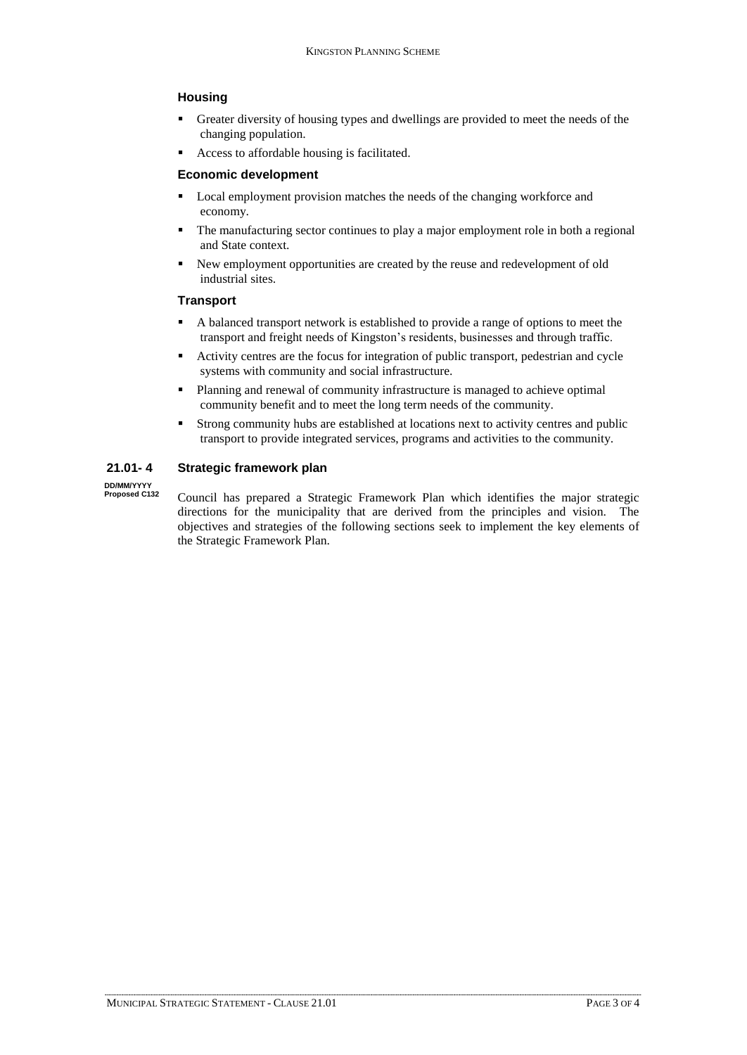# **Housing**

- Greater diversity of housing types and dwellings are provided to meet the needs of the changing population.
- Access to affordable housing is facilitated.

## **Economic development**

- Local employment provision matches the needs of the changing workforce and economy.
- The manufacturing sector continues to play a major employment role in both a regional and State context.
- New employment opportunities are created by the reuse and redevelopment of old industrial sites.

# **Transport**

- A balanced transport network is established to provide a range of options to meet the **the france of the freight network is established to provide a range of options to meet the**<br>transport and freight needs of Kingston's residents, businesses and through traffic.
- Activity centres are the focus for integration of public transport, pedestrian and cycle systems with community and social infrastructure.
- Planning and renewal of community infrastructure is managed to achieve optimal community benefit and to meet the long term needs of the community.
- Strong community hubs are established at locations next to activity centres and public transport to provide integrated services, programs and activities to the community.

# **21.01- 4 Strategic framework plan**

**DD/MM/YYYY Proposed C132**

Council has prepared a Strategic Framework Plan which identifies the major strategic directions for the municipality that are derived from the principles and vision. The objectives and strategies of the following sections seek to implement the key elements of the Strategic Framework Plan.